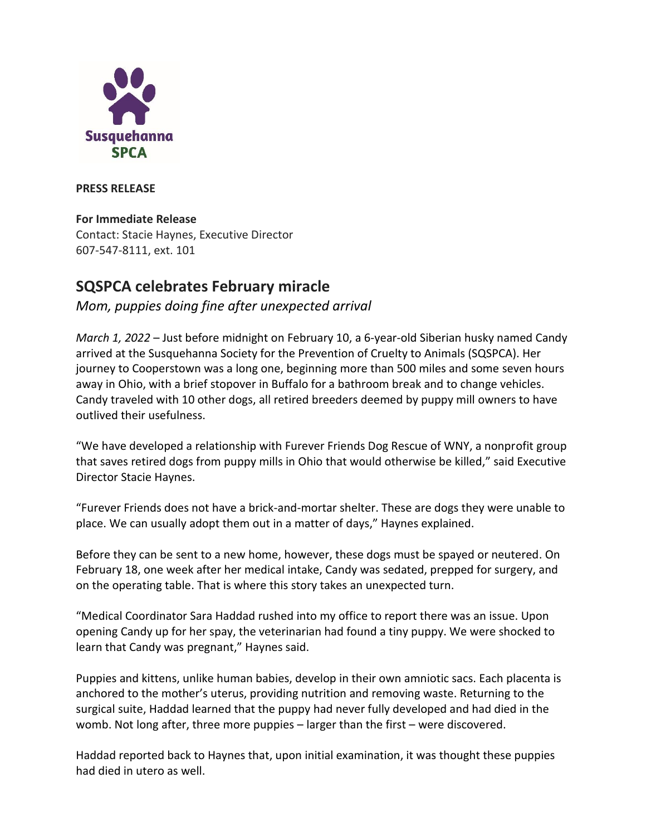

**PRESS RELEASE**

## **For Immediate Release**

Contact: Stacie Haynes, Executive Director 607-547-8111, ext. 101

## **SQSPCA celebrates February miracle**

## *Mom, puppies doing fine after unexpected arrival*

*March 1, 2022* – Just before midnight on February 10, a 6-year-old Siberian husky named Candy arrived at the Susquehanna Society for the Prevention of Cruelty to Animals (SQSPCA). Her journey to Cooperstown was a long one, beginning more than 500 miles and some seven hours away in Ohio, with a brief stopover in Buffalo for a bathroom break and to change vehicles. Candy traveled with 10 other dogs, all retired breeders deemed by puppy mill owners to have outlived their usefulness.

"We have developed a relationship with Furever Friends Dog Rescue of WNY, a nonprofit group that saves retired dogs from puppy mills in Ohio that would otherwise be killed," said Executive Director Stacie Haynes.

"Furever Friends does not have a brick-and-mortar shelter. These are dogs they were unable to place. We can usually adopt them out in a matter of days," Haynes explained.

Before they can be sent to a new home, however, these dogs must be spayed or neutered. On February 18, one week after her medical intake, Candy was sedated, prepped for surgery, and on the operating table. That is where this story takes an unexpected turn.

"Medical Coordinator Sara Haddad rushed into my office to report there was an issue. Upon opening Candy up for her spay, the veterinarian had found a tiny puppy. We were shocked to learn that Candy was pregnant," Haynes said.

Puppies and kittens, unlike human babies, develop in their own amniotic sacs. Each placenta is anchored to the mother's uterus, providing nutrition and removing waste. Returning to the surgical suite, Haddad learned that the puppy had never fully developed and had died in the womb. Not long after, three more puppies – larger than the first – were discovered.

Haddad reported back to Haynes that, upon initial examination, it was thought these puppies had died in utero as well.